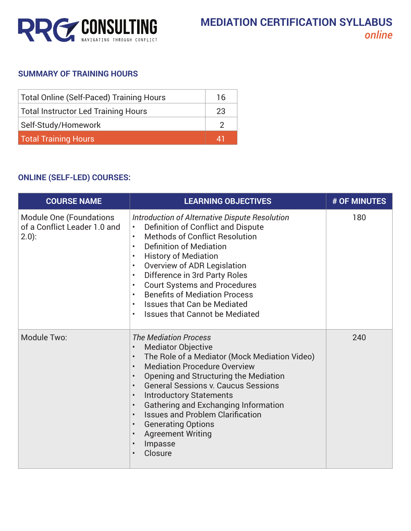

## **SUMMARY OF TRAINING HOURS**

| <b>Total Online (Self-Paced) Training Hours</b> | 16 |
|-------------------------------------------------|----|
| Total Instructor Led Training Hours             | 23 |
| Self-Study/Homework                             |    |
| <b>Total Training Hours</b>                     | 41 |

## **ONLINE (SELF-LED) COURSES:**

| <b>COURSE NAME</b>                                                          | <b>LEARNING OBJECTIVES</b>                                                                                                                                                                                                                                                                                                                                                                                                                                                                                                              | # OF MINUTES |
|-----------------------------------------------------------------------------|-----------------------------------------------------------------------------------------------------------------------------------------------------------------------------------------------------------------------------------------------------------------------------------------------------------------------------------------------------------------------------------------------------------------------------------------------------------------------------------------------------------------------------------------|--------------|
| <b>Module One (Foundations</b><br>of a Conflict Leader 1.0 and<br>$(2.0)$ : | Introduction of Alternative Dispute Resolution<br>Definition of Conflict and Dispute<br>$\bullet$<br><b>Methods of Conflict Resolution</b><br>$\bullet$<br><b>Definition of Mediation</b><br>$\bullet$<br><b>History of Mediation</b><br>$\bullet$<br>Overview of ADR Legislation<br>٠<br>Difference in 3rd Party Roles<br>$\bullet$<br><b>Court Systems and Procedures</b><br><b>Benefits of Mediation Process</b><br>$\bullet$<br><b>Issues that Can be Mediated</b><br>$\bullet$<br><b>Issues that Cannot be Mediated</b>            | 180          |
| Module Two:                                                                 | <b>The Mediation Process</b><br><b>Mediator Objective</b><br>The Role of a Mediator (Mock Mediation Video)<br>$\bullet$<br><b>Mediation Procedure Overview</b><br>Opening and Structuring the Mediation<br>$\bullet$<br><b>General Sessions v. Caucus Sessions</b><br>$\bullet$<br><b>Introductory Statements</b><br>Gathering and Exchanging Information<br>$\bullet$<br><b>Issues and Problem Clarification</b><br>$\bullet$<br><b>Generating Options</b><br>$\bullet$<br><b>Agreement Writing</b><br>$\bullet$<br>Impasse<br>Closure | 240          |